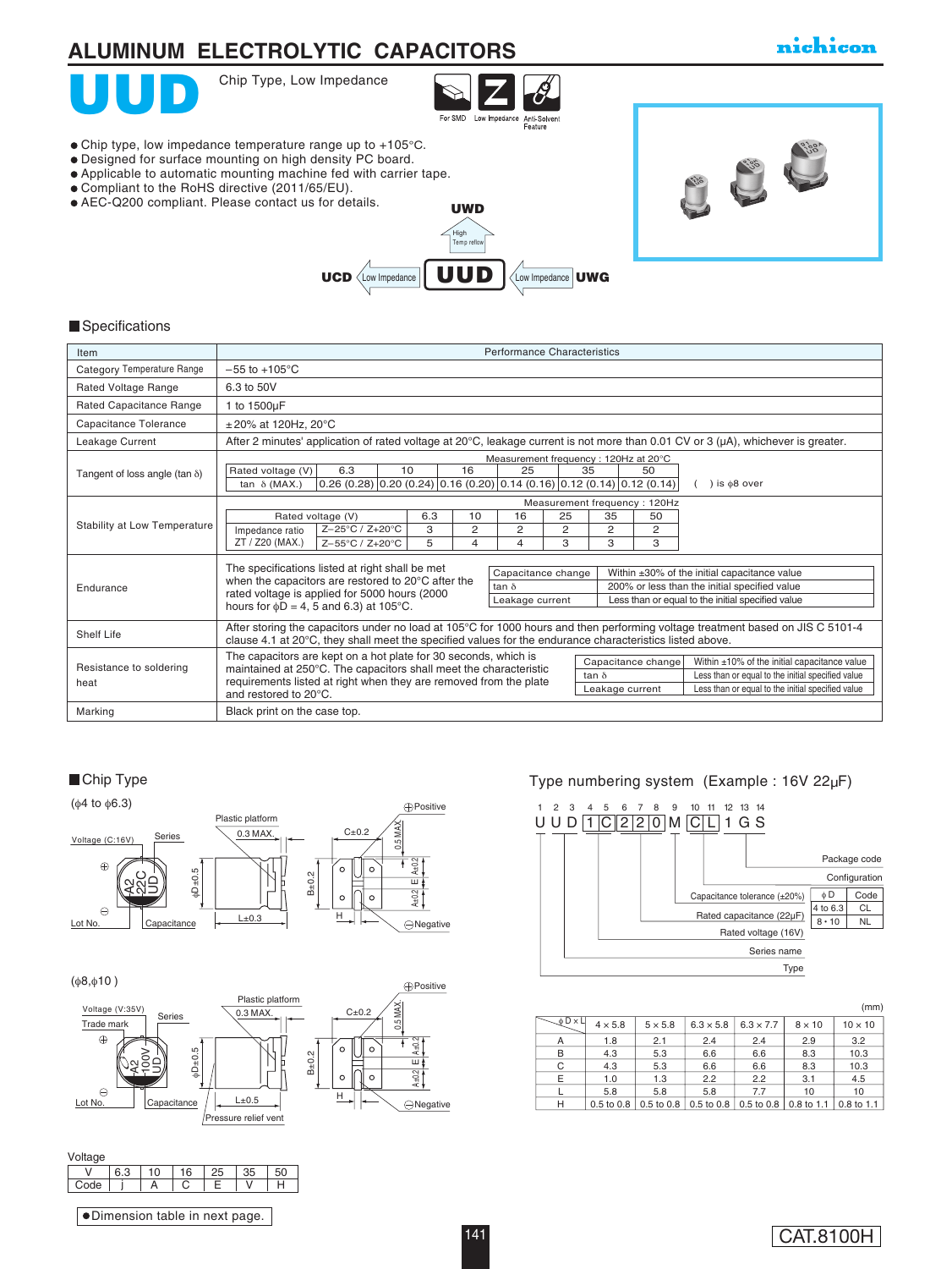# **ALUMINUM ELECTROLYTIC CAPACITORS**

### nichicon

Chip Type, Low Impedance



- Chip type, low impedance temperature range up to +105°C.
- Designed for surface mounting on high density PC board.
- Applicable to automatic mounting machine fed with carrier tape.
- Compliant to the RoHS directive (2011/65/EU).
- AEC-Q200 compliant. Please contact us for details.





#### **Specifications**

| Item                                  | <b>Performance Characteristics</b>                                                                                                                                                                                                         |  |  |  |  |  |  |  |  |  |
|---------------------------------------|--------------------------------------------------------------------------------------------------------------------------------------------------------------------------------------------------------------------------------------------|--|--|--|--|--|--|--|--|--|
| Category Temperature Range            | $-55$ to $+105^{\circ}$ C                                                                                                                                                                                                                  |  |  |  |  |  |  |  |  |  |
| Rated Voltage Range                   | 6.3 to 50V                                                                                                                                                                                                                                 |  |  |  |  |  |  |  |  |  |
| Rated Capacitance Range               | 1 to 1500µF                                                                                                                                                                                                                                |  |  |  |  |  |  |  |  |  |
| Capacitance Tolerance                 | $±20\%$ at 120Hz, 20 $°C$                                                                                                                                                                                                                  |  |  |  |  |  |  |  |  |  |
| Leakage Current                       | After 2 minutes' application of rated voltage at 20 $\degree$ C, leakage current is not more than 0.01 CV or 3 ( $\mu$ A), whichever is greater.                                                                                           |  |  |  |  |  |  |  |  |  |
|                                       | Measurement frequency: 120Hz at 20°C                                                                                                                                                                                                       |  |  |  |  |  |  |  |  |  |
| Tangent of loss angle (tan $\delta$ ) | 16<br>6.3<br>10<br>25<br>Rated voltage (V)<br>35<br>50                                                                                                                                                                                     |  |  |  |  |  |  |  |  |  |
|                                       | 0.26 (0.28) 0.20 (0.24) 0.16 (0.20) 0.14 (0.16) 0.12 (0.14) 0.12 (0.14)<br>) is $\phi$ 8 over<br>tan $\delta$ (MAX.)                                                                                                                       |  |  |  |  |  |  |  |  |  |
|                                       | Measurement frequency: 120Hz                                                                                                                                                                                                               |  |  |  |  |  |  |  |  |  |
|                                       | 6.3<br>25<br>35<br>Rated voltage (V)<br>10<br>16<br>50                                                                                                                                                                                     |  |  |  |  |  |  |  |  |  |
| Stability at Low Temperature          | Z-25°C / Z+20°C<br>3<br>$\overline{2}$<br>2<br>2<br>2<br>2<br>Impedance ratio                                                                                                                                                              |  |  |  |  |  |  |  |  |  |
|                                       | ZT / Z20 (MAX.)<br>Z-55°C / Z+20°C<br>5<br>3<br>3<br>З<br>$\overline{4}$<br>4                                                                                                                                                              |  |  |  |  |  |  |  |  |  |
|                                       |                                                                                                                                                                                                                                            |  |  |  |  |  |  |  |  |  |
|                                       | The specifications listed at right shall be met<br>Capacitance change<br>Within ±30% of the initial capacitance value<br>when the capacitors are restored to 20°C after the                                                                |  |  |  |  |  |  |  |  |  |
| Endurance                             | 200% or less than the initial specified value<br>tan $\delta$<br>rated voltage is applied for 5000 hours (2000                                                                                                                             |  |  |  |  |  |  |  |  |  |
|                                       | Less than or equal to the initial specified value<br>Leakage current<br>hours for $\phi$ D = 4, 5 and 6.3) at 105°C.                                                                                                                       |  |  |  |  |  |  |  |  |  |
|                                       |                                                                                                                                                                                                                                            |  |  |  |  |  |  |  |  |  |
| Shelf Life                            | After storing the capacitors under no load at 105°C for 1000 hours and then performing voltage treatment based on JIS C 5101-4<br>clause 4.1 at 20°C, they shall meet the specified values for the endurance characteristics listed above. |  |  |  |  |  |  |  |  |  |
|                                       | The capacitors are kept on a hot plate for 30 seconds, which is<br>Within $\pm 10\%$ of the initial capacitance value<br>Capacitance change                                                                                                |  |  |  |  |  |  |  |  |  |
| Resistance to soldering               | maintained at 250°C. The capacitors shall meet the characteristic<br>Less than or equal to the initial specified value<br>tan $\delta$                                                                                                     |  |  |  |  |  |  |  |  |  |
| heat                                  | requirements listed at right when they are removed from the plate<br>Less than or equal to the initial specified value<br>Leakage current<br>and restored to 20°C.                                                                         |  |  |  |  |  |  |  |  |  |
| Marking                               | Black print on the case top.                                                                                                                                                                                                               |  |  |  |  |  |  |  |  |  |

#### Chip Type



 (φ8,φ10 ) Plastic platform Voltage (V:35V)  $C\pm 0.2$ 0.3 MAX. Trade mark  $\oplus$  $\circ$ φD±0.5 B±0.2  $\geq$ UD A2  $\circ$  $\ominus$  $\overline{H}$  $L\pm 0.5$ Lot No. Capacitance

Pressure relief vent

| Voltage |     |    |    |    |    |  |
|---------|-----|----|----|----|----|--|
|         | 6.3 | 10 | 16 | 25 | 35 |  |
| Code    |     |    |    |    |    |  |

Dimension table in next page.

#### Type numbering system (Example : 16V 22µF)



|                     |                       |                |                  |                  |               | (mm)           |
|---------------------|-----------------------|----------------|------------------|------------------|---------------|----------------|
| $\Phi$ D $\times$ L | $4 \times 5.8$        | $5 \times 5.8$ | $6.3 \times 5.8$ | $6.3 \times 7.7$ | $8 \times 10$ | $10 \times 10$ |
| А                   | 1.8                   | 2.1            | 2.4              | 2.4              | 2.9           | 3.2            |
| B                   | 4.3                   | 5.3            | 6.6              | 6.6              | 8.3           | 10.3           |
| C                   | 4.3                   | 5.3            | 6.6              | 6.6              | 8.3           | 10.3           |
| Е                   | 1.0                   | 1.3            | 2.2              | 2.2              | 3.1           | 4.5            |
|                     | 5.8                   | 5.8            | 5.8              | 7.7              | 10            | 10             |
| н                   | $0.5 \text{ to } 0.8$ | 0.5 to 0.8     | $0.5$ to $0.8$   | 0.5 to 0.8       | 0.8 to 1.1    | $0.8$ to 1.1   |

#### CAT.8100H

A±0.2 A±0.2

**⊕Positive** 

Negative

E

 $A \pm 0.2$ 

0.5 MAX.

 $\overline{c}$ 

 $\circ$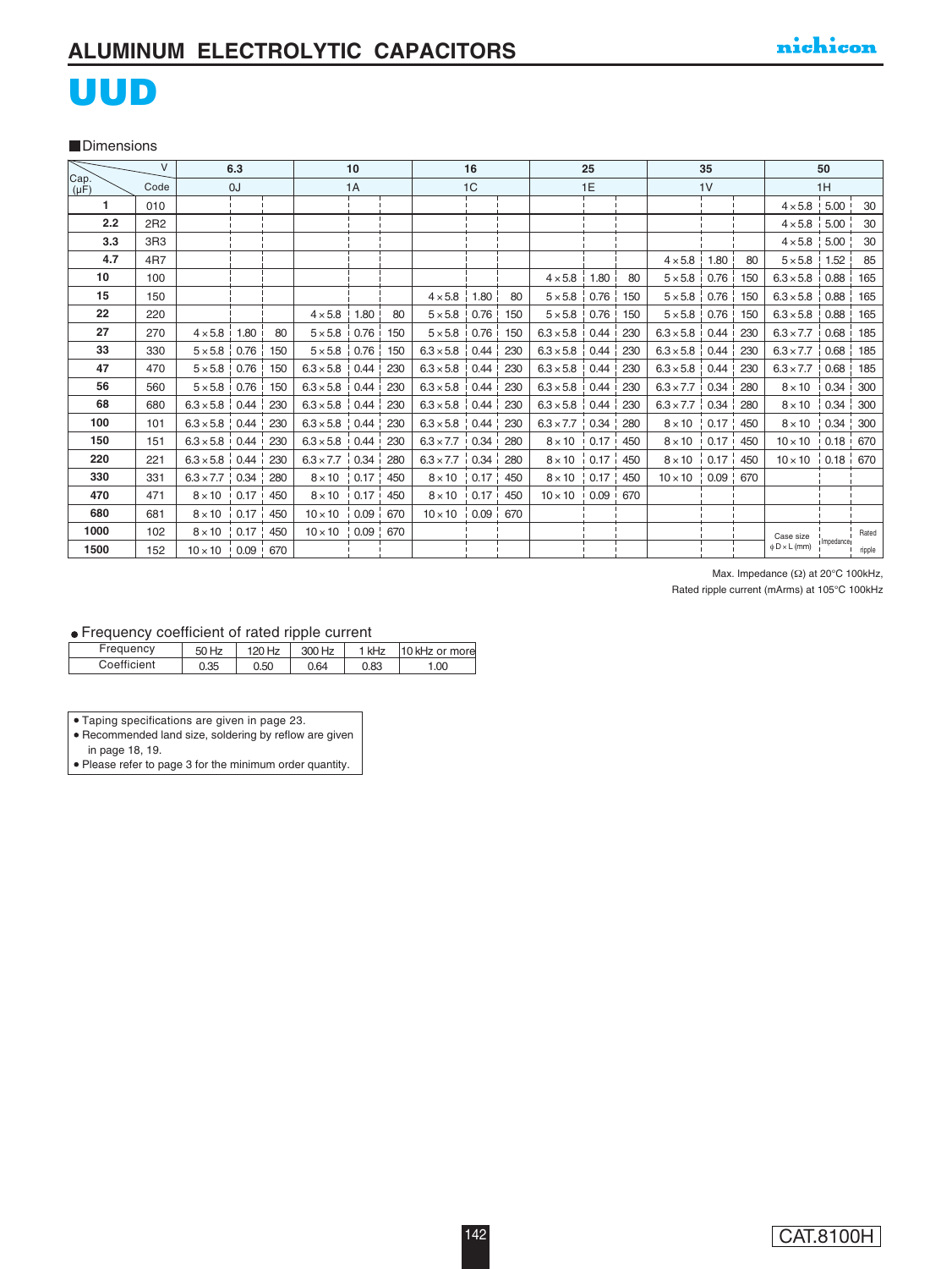# UUD

**Dimensions** 

|                   | $\vee$          |                         | 6.3                |     |                       | 10                |                   |                                       | 16                 |     |                       | 25   |     |                         | 35                 |     |                          | 50          |        |
|-------------------|-----------------|-------------------------|--------------------|-----|-----------------------|-------------------|-------------------|---------------------------------------|--------------------|-----|-----------------------|------|-----|-------------------------|--------------------|-----|--------------------------|-------------|--------|
| Cap.<br>$(\mu F)$ | Code            |                         | 0J                 |     |                       | 1A                |                   |                                       | 1 <sup>C</sup>     |     |                       | 1E   |     |                         | 1 <sub>V</sub>     |     |                          | 1H          |        |
| 1                 | 010             |                         |                    |     |                       |                   |                   |                                       |                    |     |                       |      |     |                         |                    |     | $4 \times 5.8$           | 5.00        | 30     |
| 2.2               | 2R <sub>2</sub> |                         |                    |     |                       |                   |                   |                                       |                    |     |                       |      |     |                         |                    |     | $4 \times 5.8$ 5.00      |             | 30     |
| 3.3               | 3R3             |                         |                    |     |                       |                   |                   |                                       |                    |     |                       |      |     |                         |                    |     | $4 \times 5.8$   5.00    |             | 30     |
| 4.7               | 4 <sub>R7</sub> |                         |                    |     |                       |                   |                   |                                       |                    |     |                       |      |     | $4 \times 5.8$ !        | 1.80               | 80  | $5 \times 5.8$   1.52    |             | 85     |
| 10                | 100             |                         |                    |     |                       |                   |                   |                                       |                    |     | $4 \times 5.8$ 1.80   |      | 80  | $5 \times 5.8$          | 0.76               | 150 | $6.3 \times 5.8$ 0.88 i  |             | 165    |
| 15                | 150             |                         |                    |     |                       |                   |                   | $4 \times 5.8$                        | 1.80               | 80  | $5 \times 5.8$ 0.76   |      | 150 | $5 \times 5.8$ 0.76     |                    | 150 | $6.3 \times 5.8$ 0.88    |             | 165    |
| 22                | 220             |                         |                    |     | $4 \times 5.8$ 1.80   |                   | 80                | $5 \times 5.8$   0.76                 |                    | 150 | $5 \times 5.8$ 0.76   |      | 150 | $5 \times 5.8$   0.76   |                    | 150 | $6.3 \times 5.8$   0.88  |             | 165    |
| 27                | 270             | $4 \times 5.8$          | 1.80               | 80  | $5 \times 5.8$        | 0.76              | 150               | $5 \times 5.8$                        | 0.76               | 150 | $6.3 \times 5.8$ 0.44 |      | 230 | $6.3 \times 5.8$        | 0.44               | 230 | $6.3 \times 7.7$         | 0.68        | 185    |
| 33                | 330             | $5 \times 5.8$ 0.76     |                    | 150 | $5 \times 5.8$ 0.76   |                   | 150               | $6.3 \times 5.8$                      | $\frac{1}{1}$ 0.44 | 230 | $6.3 \times 5.8$ 0.44 |      | 230 | $6.3 \times 5.8$        | $\vert 0.44 \vert$ | 230 | $6.3 \times 7.7$ 0.68    |             | 185    |
| 47                | 470             | $5 \times 5.8$   0.76   |                    | 150 | $6.3 \times 5.8$ 0.44 |                   | 230               | $6.3 \times 5.8$   0.44               |                    | 230 | $6.3 \times 5.8$ 0.44 |      | 230 | $6.3 \times 5.8$   0.44 |                    | 230 | $6.3 \times 7.7$   0.68  |             | 185    |
| 56                | 560             | $5 \times 5.8$ 0.76     |                    | 150 | $6.3 \times 5.8$      | 0.44              | 230               | $6.3 \times 5.8$                      | 0.44               | 230 | $6.3 \times 5.8$      | 0.44 | 230 | $6.3 \times 7.7$        | 0.34               | 280 | $8 \times 10$ i          | 0.34        | 300    |
| 68                | 680             | $6.3 \times 5.8$ 0.44   |                    | 230 | $6.3 \times 5.8$ 0.44 |                   | 230               | $6.3 \times 5.8$                      | 0.44               | 230 | $6.3 \times 5.8$ 0.44 |      | 230 | $6.3 \times 7.7$        | 0.34               | 280 | $8 \times 10$ 0.34       |             | 300    |
| 100               | 101             | $6.3 \times 5.8$   0.44 |                    | 230 | $6.3 \times 5.8$ 0.44 |                   | 230               | $6.3 \times 5.8$   0.44               |                    | 230 | $6.3 \times 7.7$ 0.34 |      | 280 | $8 \times 10$           | 0.17               | 450 | $8 \times 10$            | 0.34        | 300    |
| 150               | 151             | $6.3 \times 5.8$ 0.44   |                    | 230 | $6.3 \times 5.8$      | 0.44              | 230               | $6.3 \times 7.7$                      | 0.34               | 280 | $8 \times 10$         | 0.17 | 450 | $8 \times 10$           | 0.17               | 450 | $10 \times 10$           | 0.18        | 670    |
| 220               | 221             | $6.3 \times 5.8$ 0.44   |                    | 230 | $6.3 \times 7.7$      | $0.34 \;$         | 280               | $6.3 \times 7.7$ 0.34                 |                    | 280 | $8 \times 10$         | 0.17 | 450 | $8 \times 10$           | 0.17 <sub>1</sub>  | 450 | $10 \times 10$ 0.18      |             | 670    |
| 330               | 331             | $6.3 \times 7.7$   0.34 |                    | 280 | $8 \times 10$         | 0.17              | 450               | $8 \times 10$                         | 0.17               | 450 | $8 \times 10$ 0.17    |      | 450 | $10 \times 10$          | $0.09$ 670         |     |                          |             |        |
| 470               | 471             | $8 \times 10$ 0.17      |                    | 450 | $8 \times 10$         | 0.17              | 450               | $8 \times 10$                         | 0.17               | 450 | $10 \times 10$ 0.09   |      | 670 |                         |                    |     |                          |             |        |
| 680               | 681             | $8 \times 10$           | $\frac{1}{2}$ 0.17 | 450 | $10 \times 10$        | 0.09 <sub>1</sub> | 670               | $10 \times 10$ 0.09 $\frac{1}{1}$ 670 |                    |     |                       |      |     |                         |                    |     |                          |             |        |
| 1000              | 102             | $8 \times 10$           | 0.17               | 450 | $10 \times 10$        | 0.09              | $\frac{1}{1}$ 670 |                                       |                    |     |                       |      |     |                         |                    |     | Case size                |             | Rated  |
| 1500              | 152             | $10 \times 10$ !        | $0.09$ !           | 670 |                       |                   |                   |                                       |                    |     |                       |      |     |                         |                    |     | $\phi$ D $\times$ L (mm) | i Impedance | ripple |

Max. Impedance (Ω) at 20°C 100kHz,

Rated ripple current (mArms) at 105°C 100kHz

#### Frequency coefficient of rated ripple current

| Frequency   | 50 Hz | 120 Hz | 300 Hz | 1 kHz | 10 kHz or more |
|-------------|-------|--------|--------|-------|----------------|
| Coefficient | 0.35  | 0.50   | 0.64   | 0.83  | 1.00           |

Taping specifications are given in page 23.

Recommended land size, soldering by reflow are given

in page 18, 19.

Please refer to page 3 for the minimum order quantity.